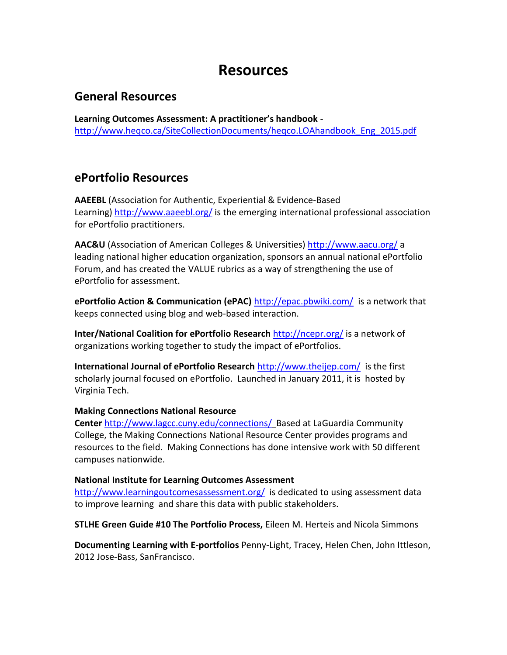# **Resources**

### **General Resources**

**Learning Outcomes Assessment: A practitioner's handbook** [http://www.heqco.ca/SiteCollectionDocuments/heqco.LOAhandbook\\_Eng\\_2015.pdf](http://www.heqco.ca/SiteCollectionDocuments/heqco.LOAhandbook_Eng_2015.pdf)

## **ePortfolio Resources**

**AAEEBL** (Association for Authentic, Experiential & Evidence-Based Learning) <http://www.aaeebl.org/> is the emerging international professional association for ePortfolio practitioners.

**AAC&U** (Association of American Colleges & Universities) <http://www.aacu.org/> a leading national higher education organization, sponsors an annual national ePortfolio Forum, and has created the VALUE rubrics as a way of strengthening the use of ePortfolio for assessment.

**ePortfolio Action & Communication (ePAC)** <http://epac.pbwiki.com/> is a network that keeps connected using blog and web-based interaction.

**Inter/National Coalition for ePortfolio Research** <http://ncepr.org/> is a network of organizations working together to study the impact of ePortfolios.

**International Journal of ePortfolio Research** <http://www.theijep.com/> is the first scholarly journal focused on ePortfolio. Launched in January 2011, it is hosted by Virginia Tech.

#### **Making Connections National Resource**

**Center** <http://www.lagcc.cuny.edu/connections/> Based at LaGuardia Community College, the Making Connections National Resource Center provides programs and resources to the field. Making Connections has done intensive work with 50 different campuses nationwide.

### **National Institute for Learning Outcomes Assessment**

<http://www.learningoutcomesassessment.org/>is dedicated to using assessment data to improve learning and share this data with public stakeholders.

**STLHE Green Guide #10 The Portfolio Process,** Eileen M. Herteis and Nicola Simmons

**Documenting Learning with E-portfolios** Penny-Light, Tracey, Helen Chen, John Ittleson, 2012 Jose-Bass, SanFrancisco.